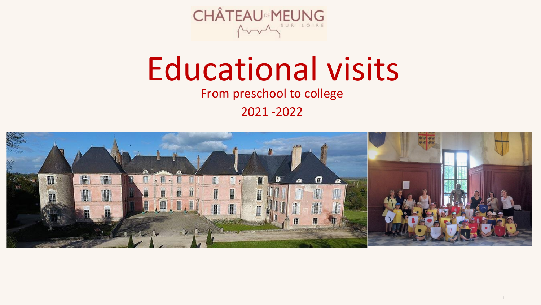

# Educational visits From preschool to college

2021 -2022



1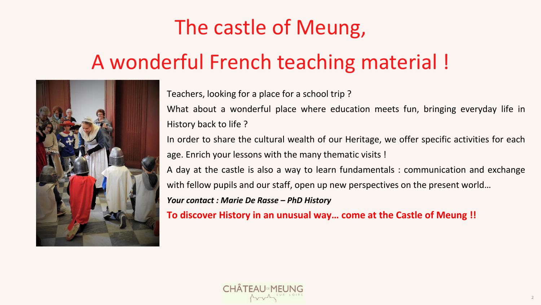Teachers, looking for a place for a school trip ? What about a wonderful place where education meets fun, bringing everyday life in History back to life ? In order to share the cultural wealth of our Heritage, we offer specific activities for each age. Enrich your lessons with the many thematic visits ! A day at the castle is also a way to learn fundamentals : communication and exchange with fellow pupils and our staff, open up new perspectives on the present world… *Your contact : Marie De Rasse – PhD History* **To discover History in an unusual way… come at the Castle of Meung !!**



# The castle of Meung, A wonderful French teaching material !

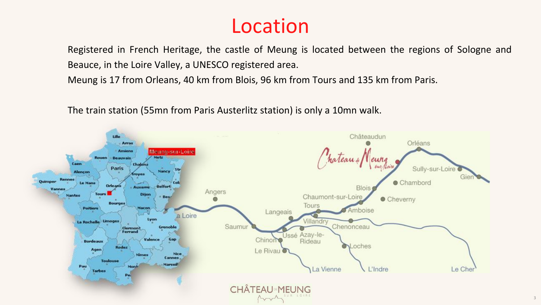Registered in French Heritage, the castle of Meung is located between the regions of Sologne and Beauce, in the Loire Valley, a UNESCO registered area.

Meung is 17 from Orleans, 40 km from Blois, 96 km from Tours and 135 km from Paris.

The train station (55mn from Paris Austerlitz station) is only a 10mn walk.



## Location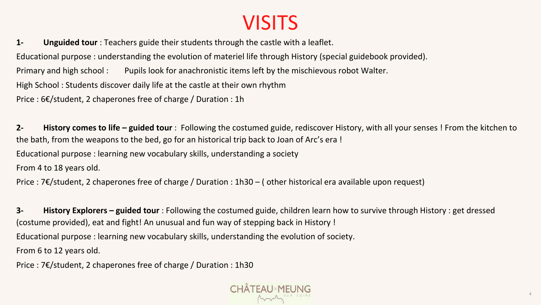## **VISITS**

**1- Unguided tour** : Teachers guide their students through the castle with a leaflet. Educational purpose : understanding the evolution of materiel life through History (special guidebook provided). Primary and high school : Pupils look for anachronistic items left by the mischievous robot Walter. High School : Students discover daily life at the castle at their own rhythm Price : 6€/student, 2 chaperones free of charge / Duration : 1h

**2- History comes to life – guided tour** : Following the costumed guide, rediscover History, with all your senses ! From the kitchen to the bath, from the weapons to the bed, go for an historical trip back to Joan of Arc's era ! Educational purpose : learning new vocabulary skills, understanding a society From 4 to 18 years old.

Price : 7€/student, 2 chaperones free of charge / Duration : 1h30 – ( other historical era available upon request)

**3- History Explorers – guided tour** : Following the costumed guide, children learn how to survive through History : get dressed (costume provided), eat and fight! An unusual and fun way of stepping back in History ! Educational purpose : learning new vocabulary skills, understanding the evolution of society. From 6 to 12 years old.

Price : 7€/student, 2 chaperones free of charge / Duration : 1h30

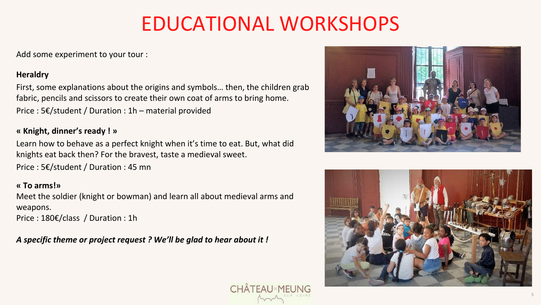## EDUCATIONAL WORKSHOPS

Add some experiment to your tour :

### **Heraldry**

First, some explanations about the origins and symbols… then, the children grab fabric, pencils and scissors to create their own coat of arms to bring home. Price : 5€/student / Duration : 1h – material provided

### **« Knight, dinner's ready ! »**

Learn how to behave as a perfect knight when it's time to eat. But, what did knights eat back then? For the bravest, taste a medieval sweet.

Price : 5€/student / Duration : 45 mn

### **« To arms!»**

Meet the soldier (knight or bowman) and learn all about medieval arms and weapons.

Price : 180€/class / Duration : 1h

*A specific theme or project request ? We'll be glad to hear about it !*





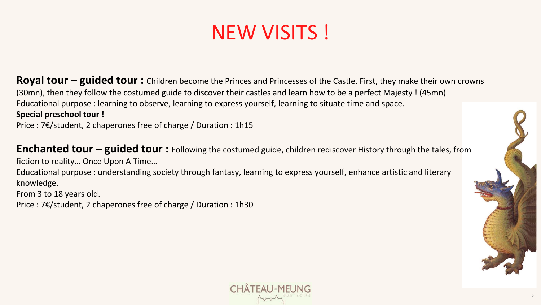## NEW VISITS !

**Royal tour – guided tour :** Children become the Princes and Princesses of the Castle. First, they make their own crowns (30mn), then they follow the costumed guide to discover their castles and learn how to be a perfect Majesty ! (45mn) Educational purpose : learning to observe, learning to express yourself, learning to situate time and space. **Special preschool tour !**

Price : 7€/student, 2 chaperones free of charge / Duration : 1h15

**Enchanted tour – guided tour :** Following the costumed guide, children rediscover History through the tales, from fiction to reality… Once Upon A Time…

Educational purpose : understanding society through fantasy, learning to express yourself, enhance artistic and literary knowledge.

From 3 to 18 years old.

Price : 7€/student, 2 chaperones free of charge / Duration : 1h30



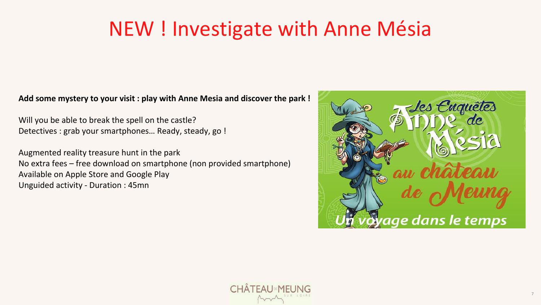## NEW ! Investigate with Anne Mésia

### **Add some mystery to your visit : play with Anne Mesia and discover the park !**

Will you be able to break the spell on the castle? Detectives : grab your smartphones… Ready, steady, go !

Augmented reality treasure hunt in the park No extra fees – free download on smartphone (non provided smartphone) Available on Apple Store and Google Play Unguided activity - Duration : 45mn



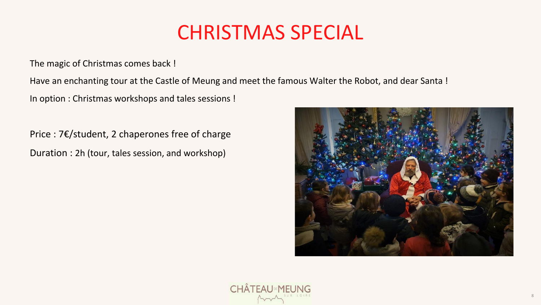## CHRISTMAS SPECIAL

The magic of Christmas comes back !

Have an enchanting tour at the Castle of Meung and meet the famous Walter the Robot, and dear Santa !

In option : Christmas workshops and tales sessions !

Price : 7€/student, 2 chaperones free of charge Duration : 2h (tour, tales session, and workshop)





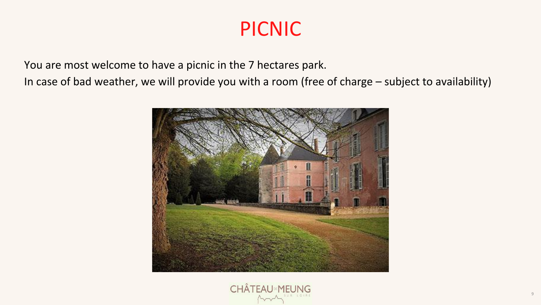## PICNIC

You are most welcome to have a picnic in the 7 hectares park. In case of bad weather, we will provide you with a room (free of charge – subject to availability)



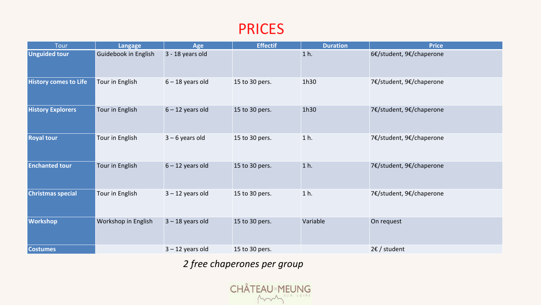### PRICES

| Tour                         | Langage                     | Age                | <b>Effectif</b> | <b>Duration</b> | <b>Price</b>             |
|------------------------------|-----------------------------|--------------------|-----------------|-----------------|--------------------------|
| <b>Unguided tour</b>         | <b>Guidebook in English</b> | 3 - 18 years old   |                 | $1h$ .          | 6€/student, 9€/chaperone |
| <b>History comes to Life</b> | Tour in English             | $6 - 18$ years old | 15 to 30 pers.  | 1h30            | 7€/student, 9€/chaperone |
| <b>History Explorers</b>     | Tour in English             | $6 - 12$ years old | 15 to 30 pers.  | 1h30            | 7€/student, 9€/chaperone |
| <b>Royal tour</b>            | Tour in English             | $3 - 6$ years old  | 15 to 30 pers.  | $1h$ .          | 7€/student, 9€/chaperone |
| <b>Enchanted tour</b>        | Tour in English             | $6 - 12$ years old | 15 to 30 pers.  | $1h$ .          | 7€/student, 9€/chaperone |
| <b>Christmas special</b>     | Tour in English             | $3 - 12$ years old | 15 to 30 pers.  | $1h$ .          | 7€/student, 9€/chaperone |
| <b>Workshop</b>              | Workshop in English         | $3 - 18$ years old | 15 to 30 pers.  | Variable        | On request               |
| <b>Costumes</b>              |                             | $3 - 12$ years old | 15 to 30 pers.  |                 | $2 \epsilon$ / student   |

### *2 free chaperones per group*